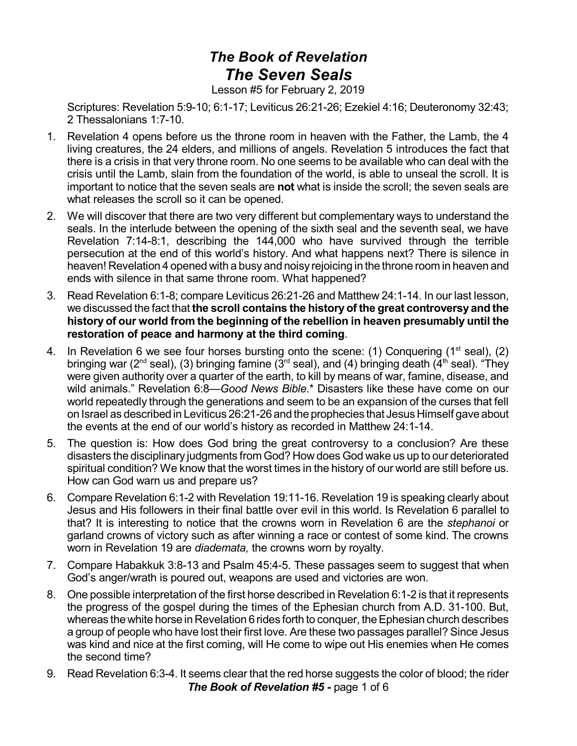## *The Book of Revelation The Seven Seals*

Lesson #5 for February 2, 2019

Scriptures: Revelation 5:9-10; 6:1-17; Leviticus 26:21-26; Ezekiel 4:16; Deuteronomy 32:43; 2 Thessalonians 1:7-10.

- 1. Revelation 4 opens before us the throne room in heaven with the Father, the Lamb, the 4 living creatures, the 24 elders, and millions of angels. Revelation 5 introduces the fact that there is a crisis in that very throne room. No one seems to be available who can deal with the crisis until the Lamb, slain from the foundation of the world, is able to unseal the scroll. It is important to notice that the seven seals are **not** what is inside the scroll; the seven seals are what releases the scroll so it can be opened.
- 2. We will discover that there are two very different but complementary ways to understand the seals. In the interlude between the opening of the sixth seal and the seventh seal, we have Revelation 7:14-8:1, describing the 144,000 who have survived through the terrible persecution at the end of this world's history. And what happens next? There is silence in heaven! Revelation 4 opened with a busy and noisy rejoicing in the throne room in heaven and ends with silence in that same throne room. What happened?
- 3. Read Revelation 6:1-8; compare Leviticus 26:21-26 and Matthew 24:1-14. In our last lesson, we discussed the fact that **the scroll contains the history of the great controversy and the history of our world from the beginning of the rebellion in heaven presumably until the restoration of peace and harmony at the third coming**.
- 4. In Revelation 6 we see four horses bursting onto the scene: (1) Conquering (1<sup>st</sup> seal), (2) bringing war (2<sup>nd</sup> seal), (3) bringing famine (3<sup>rd</sup> seal), and (4) bringing death (4<sup>th</sup> seal). "They were given authority over a quarter of the earth, to kill by means of war, famine, disease, and wild animals." Revelation 6:8—*Good News Bible*.\* Disasters like these have come on our world repeatedly through the generations and seem to be an expansion of the curses that fell on Israel as described in Leviticus 26:21-26and the prophecies that Jesus Himself gave about the events at the end of our world's history as recorded in Matthew 24:1-14.
- 5. The question is: How does God bring the great controversy to a conclusion? Are these disasters the disciplinary judgments from God? How does God wake us up to our deteriorated spiritual condition? We know that the worst times in the history of our world are still before us. How can God warn us and prepare us?
- 6. Compare Revelation 6:1-2 with Revelation 19:11-16. Revelation 19 is speaking clearly about Jesus and His followers in their final battle over evil in this world. Is Revelation 6 parallel to that? It is interesting to notice that the crowns worn in Revelation 6 are the *stephanoi* or garland crowns of victory such as after winning a race or contest of some kind. The crowns worn in Revelation 19 are *diademata,* the crowns worn by royalty.
- 7. Compare Habakkuk 3:8-13 and Psalm 45:4-5. These passages seem to suggest that when God's anger/wrath is poured out, weapons are used and victories are won.
- 8. One possible interpretation of the first horse described in Revelation 6:1-2 is that it represents the progress of the gospel during the times of the Ephesian church from A.D. 31-100. But, whereas the white horse in Revelation 6 rides forth to conquer, the Ephesian church describes a group of people who have lost their first love. Are these two passages parallel? Since Jesus was kind and nice at the first coming, will He come to wipe out His enemies when He comes the second time?
- 9. Read Revelation 6:3-4. It seems clear that the red horse suggests the color of blood; the rider *The Book of Revelation #5* **-** page 1 of 6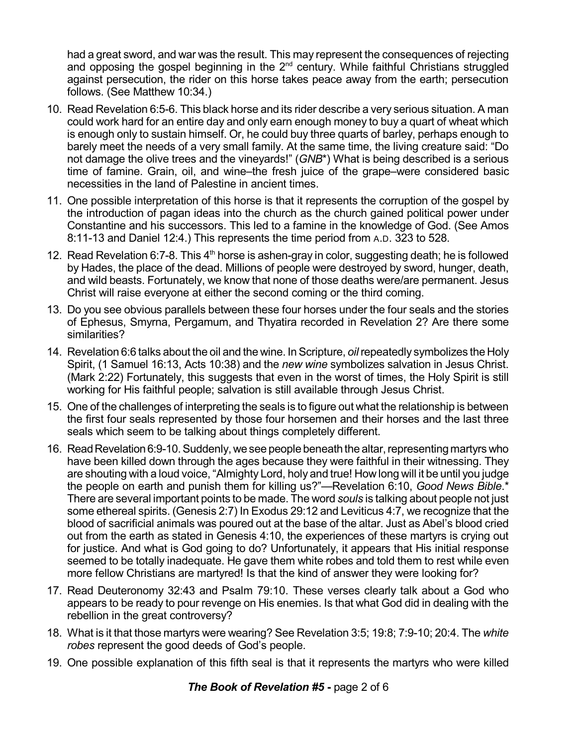had a great sword, and war was the result. This may represent the consequences of rejecting and opposing the gospel beginning in the  $2^{nd}$  century. While faithful Christians struggled against persecution, the rider on this horse takes peace away from the earth; persecution follows. (See Matthew 10:34.)

- 10. Read Revelation 6:5-6. This black horse and its rider describe a very serious situation. A man could work hard for an entire day and only earn enough money to buy a quart of wheat which is enough only to sustain himself. Or, he could buy three quarts of barley, perhaps enough to barely meet the needs of a very small family. At the same time, the living creature said: "Do not damage the olive trees and the vineyards!" (*GNB*\*) What is being described is a serious time of famine. Grain, oil, and wine–the fresh juice of the grape–were considered basic necessities in the land of Palestine in ancient times.
- 11. One possible interpretation of this horse is that it represents the corruption of the gospel by the introduction of pagan ideas into the church as the church gained political power under Constantine and his successors. This led to a famine in the knowledge of God. (See Amos 8:11-13 and Daniel 12:4.) This represents the time period from A.D. 323 to 528.
- 12. Read Revelation 6:7-8. This 4<sup>th</sup> horse is ashen-gray in color, suggesting death; he is followed by Hades, the place of the dead. Millions of people were destroyed by sword, hunger, death, and wild beasts. Fortunately, we know that none of those deaths were/are permanent. Jesus Christ will raise everyone at either the second coming or the third coming.
- 13. Do you see obvious parallels between these four horses under the four seals and the stories of Ephesus, Smyrna, Pergamum, and Thyatira recorded in Revelation 2? Are there some similarities?
- 14. Revelation 6:6 talks about the oil and the wine. InScripture, *oil*repeatedly symbolizes the Holy Spirit, (1 Samuel 16:13, Acts 10:38) and the *new wine* symbolizes salvation in Jesus Christ. (Mark 2:22) Fortunately, this suggests that even in the worst of times, the Holy Spirit is still working for His faithful people; salvation is still available through Jesus Christ.
- 15. One of the challenges of interpreting the seals is to figure out what the relationship is between the first four seals represented by those four horsemen and their horses and the last three seals which seem to be talking about things completely different.
- 16. Read Revelation 6:9-10. Suddenly, we see people beneath the altar, representing martyrs who have been killed down through the ages because they were faithful in their witnessing. They are shouting with a loud voice, "Almighty Lord, holy and true! How long will it be until you judge the people on earth and punish them for killing us?"—Revelation 6:10, *Good News Bible*.\* There are several important points to be made. The word *souls* is talking about people not just some ethereal spirits. (Genesis 2:7) In Exodus 29:12 and Leviticus 4:7, we recognize that the blood of sacrificial animals was poured out at the base of the altar. Just as Abel's blood cried out from the earth as stated in Genesis 4:10, the experiences of these martyrs is crying out for justice. And what is God going to do? Unfortunately, it appears that His initial response seemed to be totally inadequate. He gave them white robes and told them to rest while even more fellow Christians are martyred! Is that the kind of answer they were looking for?
- 17. Read Deuteronomy 32:43 and Psalm 79:10. These verses clearly talk about a God who appears to be ready to pour revenge on His enemies. Is that what God did in dealing with the rebellion in the great controversy?
- 18. What is it that those martyrs were wearing? See Revelation 3:5; 19:8; 7:9-10; 20:4. The *white robes* represent the good deeds of God's people.
- 19. One possible explanation of this fifth seal is that it represents the martyrs who were killed

*The Book of Revelation #5* **-** page 2 of 6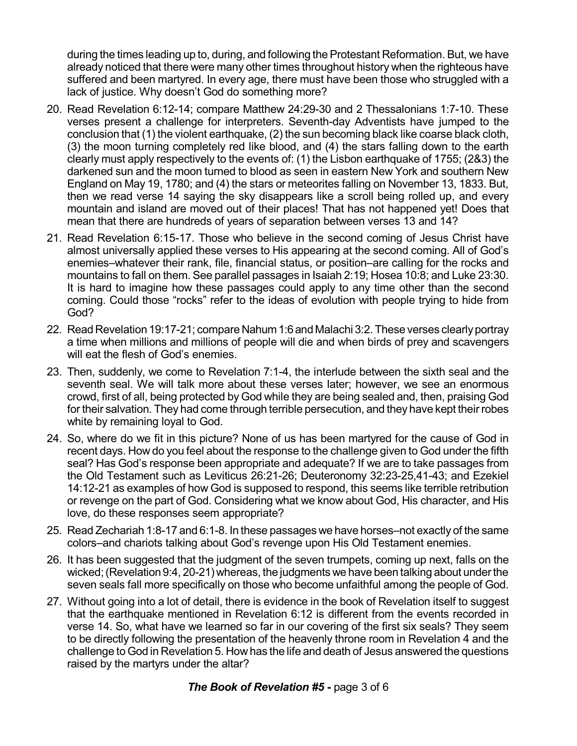during the times leading up to, during, and following the Protestant Reformation. But, we have already noticed that there were many other times throughout history when the righteous have suffered and been martyred. In every age, there must have been those who struggled with a lack of justice. Why doesn't God do something more?

- 20. Read Revelation 6:12-14; compare Matthew 24:29-30 and 2 Thessalonians 1:7-10. These verses present a challenge for interpreters. Seventh-day Adventists have jumped to the conclusion that (1) the violent earthquake, (2) the sun becoming black like coarse black cloth, (3) the moon turning completely red like blood, and (4) the stars falling down to the earth clearly must apply respectively to the events of: (1) the Lisbon earthquake of 1755; (2&3) the darkened sun and the moon turned to blood as seen in eastern New York and southern New England on May 19, 1780; and (4) the stars or meteorites falling on November 13, 1833. But, then we read verse 14 saying the sky disappears like a scroll being rolled up, and every mountain and island are moved out of their places! That has not happened yet! Does that mean that there are hundreds of years of separation between verses 13 and 14?
- 21. Read Revelation 6:15-17. Those who believe in the second coming of Jesus Christ have almost universally applied these verses to His appearing at the second coming. All of God's enemies–whatever their rank, file, financial status, or position–are calling for the rocks and mountains to fall on them. See parallel passages in Isaiah 2:19; Hosea 10:8; and Luke 23:30. It is hard to imagine how these passages could apply to any time other than the second coming. Could those "rocks" refer to the ideas of evolution with people trying to hide from God?
- 22. Read Revelation 19:17-21; compare Nahum 1:6 and Malachi 3:2. These verses clearly portray a time when millions and millions of people will die and when birds of prey and scavengers will eat the flesh of God's enemies.
- 23. Then, suddenly, we come to Revelation 7:1-4, the interlude between the sixth seal and the seventh seal. We will talk more about these verses later; however, we see an enormous crowd, first of all, being protected by God while they are being sealed and, then, praising God for their salvation. They had come through terrible persecution, and they have kept their robes white by remaining loyal to God.
- 24. So, where do we fit in this picture? None of us has been martyred for the cause of God in recent days. How do you feel about the response to the challenge given to God under the fifth seal? Has God's response been appropriate and adequate? If we are to take passages from the Old Testament such as Leviticus 26:21-26; Deuteronomy 32:23-25,41-43; and Ezekiel 14:12-21 as examples of how God is supposed to respond, this seems like terrible retribution or revenge on the part of God. Considering what we know about God, His character, and His love, do these responses seem appropriate?
- 25. Read Zechariah 1:8-17 and 6:1-8. In these passages we have horses–not exactly of the same colors–and chariots talking about God's revenge upon His Old Testament enemies.
- 26. It has been suggested that the judgment of the seven trumpets, coming up next, falls on the wicked; (Revelation 9:4, 20-21) whereas, the judgments we have been talking about under the seven seals fall more specifically on those who become unfaithful among the people of God.
- 27. Without going into a lot of detail, there is evidence in the book of Revelation itself to suggest that the earthquake mentioned in Revelation 6:12 is different from the events recorded in verse 14. So, what have we learned so far in our covering of the first six seals? They seem to be directly following the presentation of the heavenly throne room in Revelation 4 and the challenge to God in Revelation 5. How has the life and death of Jesus answered the questions raised by the martyrs under the altar?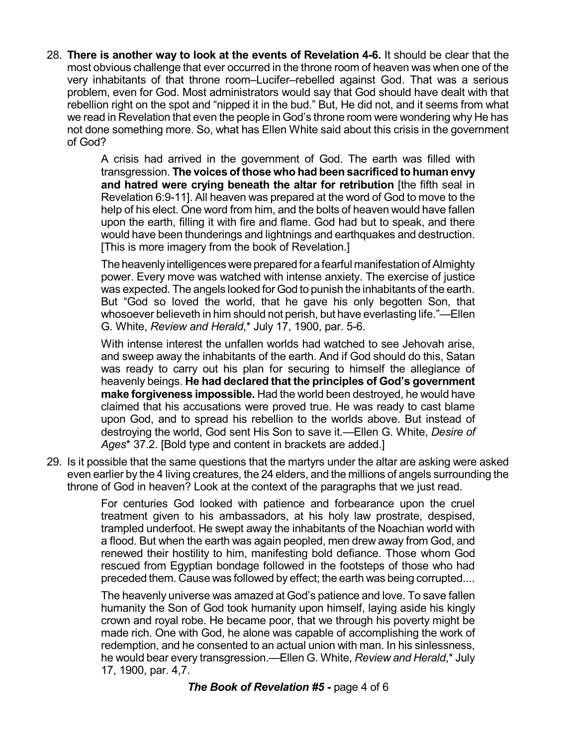28. **There is another way to look at the events of Revelation 4-6.** It should be clear that the most obvious challenge that ever occurred in the throne room of heaven was when one of the very inhabitants of that throne room–Lucifer–rebelled against God. That was a serious problem, even for God. Most administrators would say that God should have dealt with that rebellion right on the spot and "nipped it in the bud." But, He did not, and it seems from what we read in Revelation that even the people in God's throne room were wondering why He has not done something more. So, what has Ellen White said about this crisis in the government of God?

> A crisis had arrived in the government of God. The earth was filled with transgression. **The voices of those who had been sacrificed to human envy and hatred were crying beneath the altar for retribution** [the fifth seal in Revelation 6:9-11]. All heaven was prepared at the word of God to move to the help of his elect. One word from him, and the bolts of heaven would have fallen upon the earth, filling it with fire and flame. God had but to speak, and there would have been thunderings and lightnings and earthquakes and destruction. [This is more imagery from the book of Revelation.]

> The heavenly intelligences were prepared for a fearful manifestation of Almighty power. Every move was watched with intense anxiety. The exercise of justice was expected. The angels looked for God to punish the inhabitants of the earth. But "God so loved the world, that he gave his only begotten Son, that whosoever believeth in him should not perish, but have everlasting life."—Ellen G. White, *Review and Herald*,\* July 17, 1900, par. 5-6.

> With intense interest the unfallen worlds had watched to see Jehovah arise, and sweep away the inhabitants of the earth. And if God should do this, Satan was ready to carry out his plan for securing to himself the allegiance of heavenly beings. **He had declared that the principles of God's government make forgiveness impossible.** Had the world been destroyed, he would have claimed that his accusations were proved true. He was ready to cast blame upon God, and to spread his rebellion to the worlds above. But instead of destroying the world, God sent His Son to save it.—Ellen G. White, *Desire of Ages*\* 37.2. [Bold type and content in brackets are added.]

29. Is it possible that the same questions that the martyrs under the altar are asking were asked even earlier by the 4 living creatures, the 24 elders, and the millions of angels surrounding the throne of God in heaven? Look at the context of the paragraphs that we just read.

> For centuries God looked with patience and forbearance upon the cruel treatment given to his ambassadors, at his holy law prostrate, despised, trampled underfoot. He swept away the inhabitants of the Noachian world with a flood. But when the earth was again peopled, men drew away from God, and renewed their hostility to him, manifesting bold defiance. Those whom God rescued from Egyptian bondage followed in the footsteps of those who had preceded them. Cause was followed by effect; the earth was being corrupted....

> The heavenly universe was amazed at God's patience and love. To save fallen humanity the Son of God took humanity upon himself, laying aside his kingly crown and royal robe. He became poor, that we through his poverty might be made rich. One with God, he alone was capable of accomplishing the work of redemption, and he consented to an actual union with man. In his sinlessness, he would bear every transgression.—Ellen G. White, *Review and Herald*,\* July 17, 1900, par. 4,7.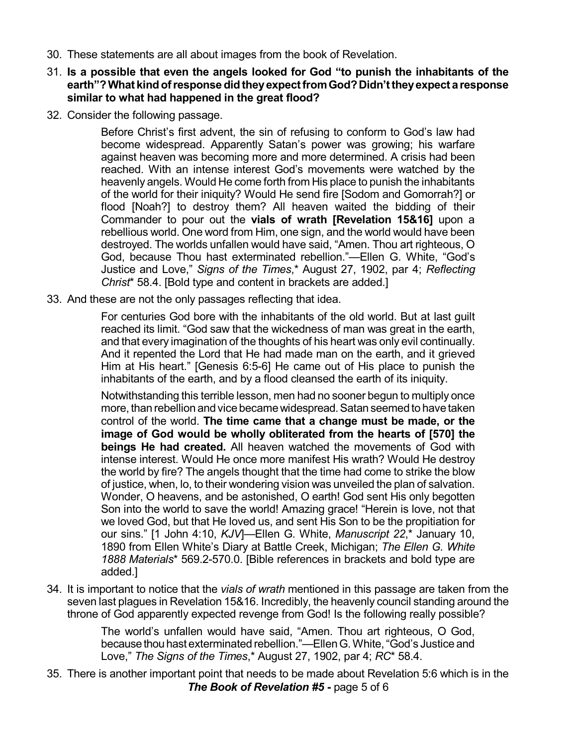- 30. These statements are all about images from the book of Revelation.
- 31. **Is a possible that even the angels looked for God "to punish the inhabitants of the earth"?What kindofresponse didtheyexpectfromGod?Didn'ttheyexpect a response similar to what had happened in the great flood?**
- 32. Consider the following passage.

Before Christ's first advent, the sin of refusing to conform to God's law had become widespread. Apparently Satan's power was growing; his warfare against heaven was becoming more and more determined. A crisis had been reached. With an intense interest God's movements were watched by the heavenly angels. Would He come forth from His place to punish the inhabitants of the world for their iniquity? Would He send fire [Sodom and Gomorrah?] or flood [Noah?] to destroy them? All heaven waited the bidding of their Commander to pour out the **vials of wrath [Revelation 15&16]** upon a rebellious world. One word from Him, one sign, and the world would have been destroyed. The worlds unfallen would have said, "Amen. Thou art righteous, O God, because Thou hast exterminated rebellion."—Ellen G. White, "God's Justice and Love," *Signs of the Times*,\* August 27, 1902, par 4; *Reflecting Christ*\* 58.4. [Bold type and content in brackets are added.]

33. And these are not the only passages reflecting that idea.

For centuries God bore with the inhabitants of the old world. But at last guilt reached its limit. "God saw that the wickedness of man was great in the earth, and that every imagination of the thoughts of his heart was only evil continually. And it repented the Lord that He had made man on the earth, and it grieved Him at His heart." [Genesis 6:5-6] He came out of His place to punish the inhabitants of the earth, and by a flood cleansed the earth of its iniquity.

Notwithstanding this terrible lesson, men had no sooner begun to multiply once more, than rebellion and vice became widespread. Satan seemed to have taken control of the world. **The time came that a change must be made, or the image of God would be wholly obliterated from the hearts of [570] the beings He had created.** All heaven watched the movements of God with intense interest. Would He once more manifest His wrath? Would He destroy the world by fire? The angels thought that the time had come to strike the blow of justice, when, lo, to their wondering vision was unveiled the plan of salvation. Wonder, O heavens, and be astonished, O earth! God sent His only begotten Son into the world to save the world! Amazing grace! "Herein is love, not that we loved God, but that He loved us, and sent His Son to be the propitiation for our sins." [1 John 4:10, *KJV*]—Ellen G. White, *Manuscript 22*,\* January 10, 1890 from Ellen White's Diary at Battle Creek, Michigan; *The Ellen G. White 1888 Materials*\* 569.2-570.0. [Bible references in brackets and bold type are added.]

34. It is important to notice that the *vials of wrath* mentioned in this passage are taken from the seven last plagues in Revelation 15&16. Incredibly, the heavenly council standing around the throne of God apparently expected revenge from God! Is the following really possible?

> The world's unfallen would have said, "Amen. Thou art righteous, O God, because thou hast exterminated rebellion."—Ellen G. White, "God's Justice and Love," *The Signs of the Times*,\* August 27, 1902, par 4; *RC*\* 58.4.

35. There is another important point that needs to be made about Revelation 5:6 which is in the *The Book of Revelation #5* **-** page 5 of 6